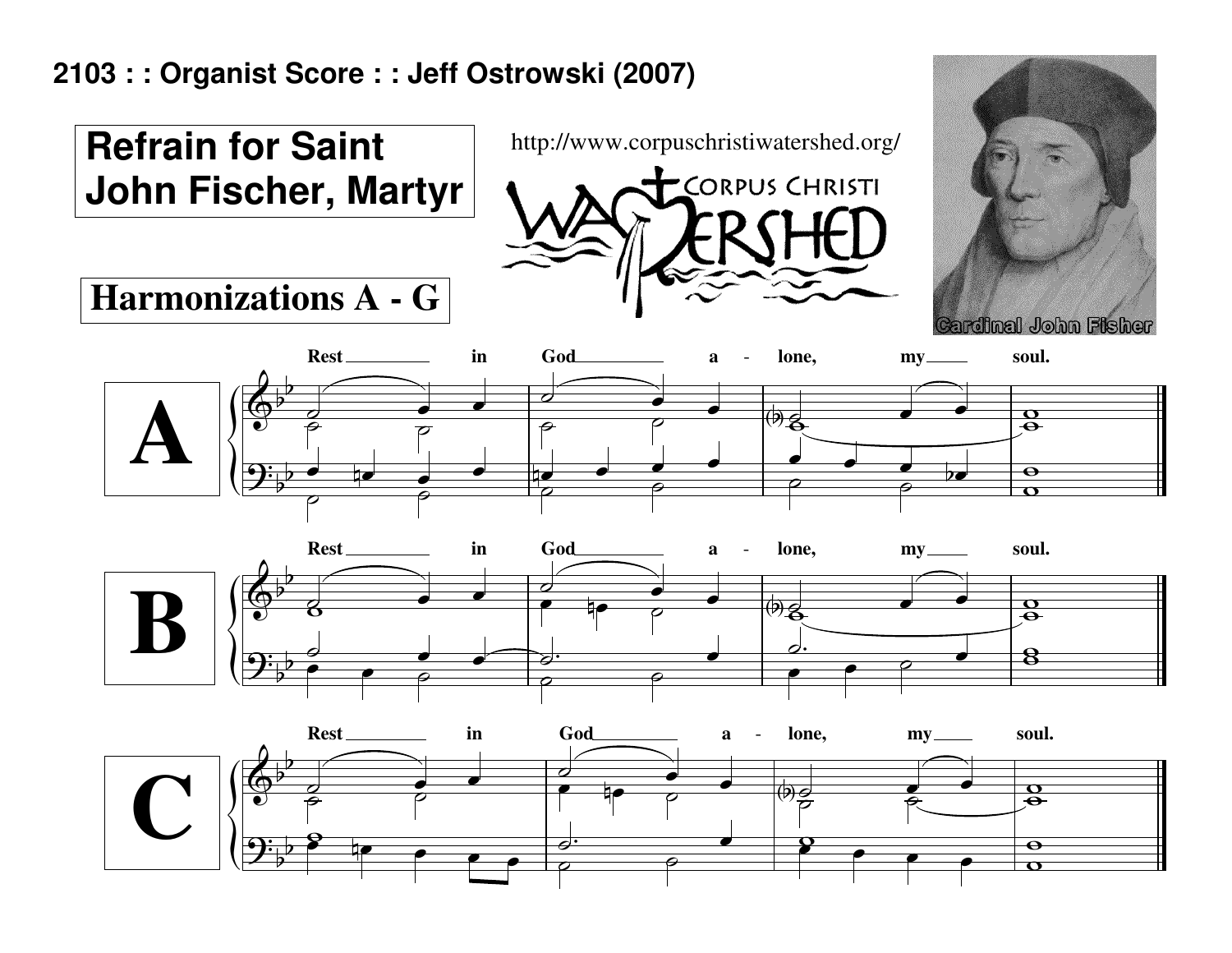## **2103 : : Organist Score : : Jeff Ostrowski (2007)**